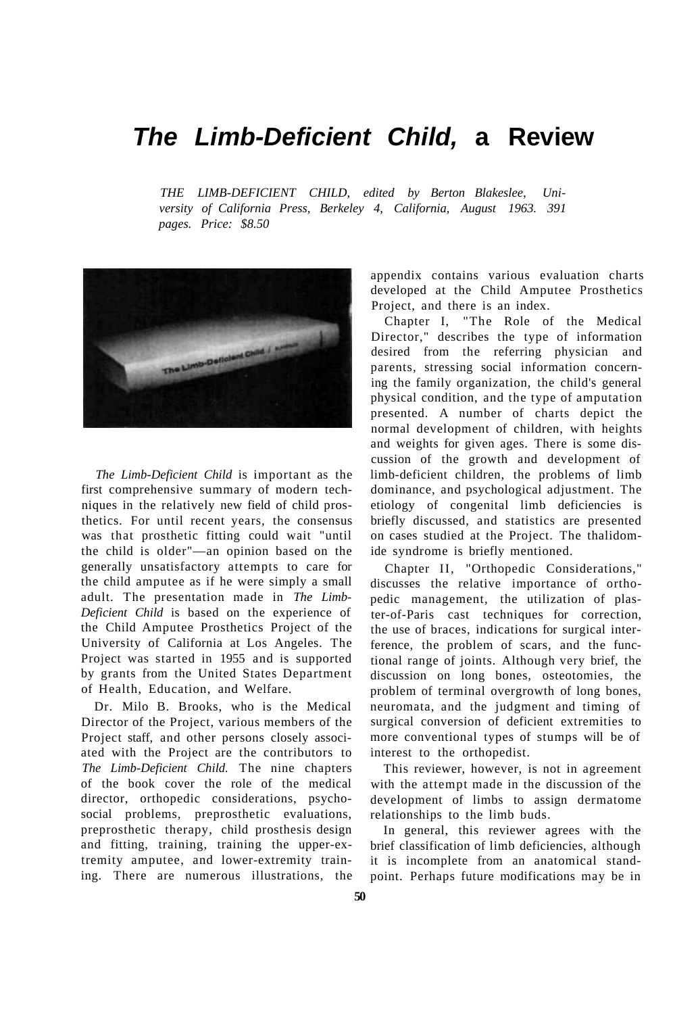## **The Limb-Deficient Child, a Review**

*THE LIMB-DEFICIENT CHILD, edited by Berton Blakeslee, University of California Press, Berkeley 4, California, August 1963. 391 pages. Price: \$8.50* 



*The Limb-Deficient Child* is important as the first comprehensive summary of modern techniques in the relatively new field of child prosthetics. For until recent years, the consensus was that prosthetic fitting could wait "until the child is older"—an opinion based on the generally unsatisfactory attempts to care for the child amputee as if he were simply a small adult. The presentation made in *The Limb-Deficient Child* is based on the experience of the Child Amputee Prosthetics Project of the University of California at Los Angeles. The Project was started in 1955 and is supported by grants from the United States Department of Health, Education, and Welfare.

Dr. Milo B. Brooks, who is the Medical Director of the Project, various members of the Project staff, and other persons closely associated with the Project are the contributors to *The Limb-Deficient Child.* The nine chapters of the book cover the role of the medical director, orthopedic considerations, psychosocial problems, preprosthetic evaluations, preprosthetic therapy, child prosthesis design and fitting, training, training the upper-extremity amputee, and lower-extremity training. There are numerous illustrations, the appendix contains various evaluation charts developed at the Child Amputee Prosthetics Project, and there is an index.

Chapter I, "The Role of the Medical Director," describes the type of information desired from the referring physician and parents, stressing social information concerning the family organization, the child's general physical condition, and the type of amputation presented. A number of charts depict the normal development of children, with heights and weights for given ages. There is some discussion of the growth and development of limb-deficient children, the problems of limb dominance, and psychological adjustment. The etiology of congenital limb deficiencies is briefly discussed, and statistics are presented on cases studied at the Project. The thalidomide syndrome is briefly mentioned.

Chapter II, "Orthopedic Considerations," discusses the relative importance of orthopedic management, the utilization of plaster-of-Paris cast techniques for correction, the use of braces, indications for surgical interference, the problem of scars, and the functional range of joints. Although very brief, the discussion on long bones, osteotomies, the problem of terminal overgrowth of long bones, neuromata, and the judgment and timing of surgical conversion of deficient extremities to more conventional types of stumps will be of interest to the orthopedist.

This reviewer, however, is not in agreement with the attempt made in the discussion of the development of limbs to assign dermatome relationships to the limb buds.

In general, this reviewer agrees with the brief classification of limb deficiencies, although it is incomplete from an anatomical standpoint. Perhaps future modifications may be in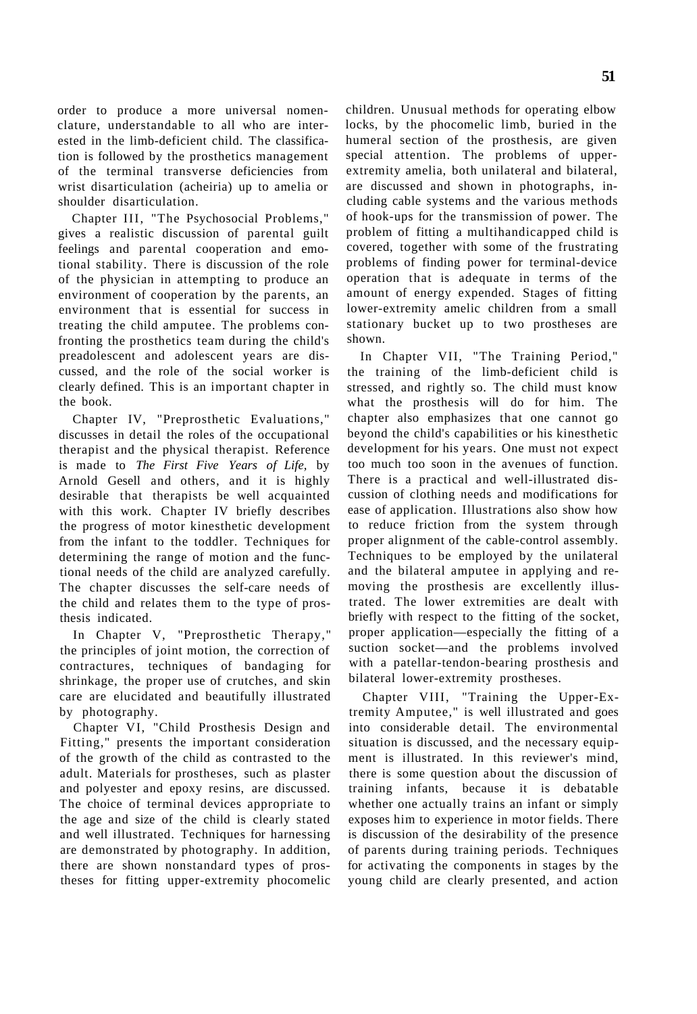order to produce a more universal nomenclature, understandable to all who are interested in the limb-deficient child. The classification is followed by the prosthetics management of the terminal transverse deficiencies from wrist disarticulation (acheiria) up to amelia or shoulder disarticulation.

Chapter III, "The Psychosocial Problems," gives a realistic discussion of parental guilt feelings and parental cooperation and emotional stability. There is discussion of the role of the physician in attempting to produce an environment of cooperation by the parents, an environment that is essential for success in treating the child amputee. The problems confronting the prosthetics team during the child's preadolescent and adolescent years are discussed, and the role of the social worker is clearly defined. This is an important chapter in the book.

Chapter IV, "Preprosthetic Evaluations," discusses in detail the roles of the occupational therapist and the physical therapist. Reference is made to *The First Five Years of Life,* by Arnold Gesell and others, and it is highly desirable that therapists be well acquainted with this work. Chapter IV briefly describes the progress of motor kinesthetic development from the infant to the toddler. Techniques for determining the range of motion and the functional needs of the child are analyzed carefully. The chapter discusses the self-care needs of the child and relates them to the type of prosthesis indicated.

In Chapter V, "Preprosthetic Therapy," the principles of joint motion, the correction of contractures, techniques of bandaging for shrinkage, the proper use of crutches, and skin care are elucidated and beautifully illustrated by photography.

Chapter VI, "Child Prosthesis Design and Fitting," presents the important consideration of the growth of the child as contrasted to the adult. Materials for prostheses, such as plaster and polyester and epoxy resins, are discussed. The choice of terminal devices appropriate to the age and size of the child is clearly stated and well illustrated. Techniques for harnessing are demonstrated by photography. In addition, there are shown nonstandard types of prostheses for fitting upper-extremity phocomelic children. Unusual methods for operating elbow locks, by the phocomelic limb, buried in the humeral section of the prosthesis, are given special attention. The problems of upperextremity amelia, both unilateral and bilateral, are discussed and shown in photographs, including cable systems and the various methods of hook-ups for the transmission of power. The problem of fitting a multihandicapped child is covered, together with some of the frustrating problems of finding power for terminal-device operation that is adequate in terms of the amount of energy expended. Stages of fitting lower-extremity amelic children from a small stationary bucket up to two prostheses are shown.

In Chapter VII, "The Training Period," the training of the limb-deficient child is stressed, and rightly so. The child must know what the prosthesis will do for him. The chapter also emphasizes that one cannot go beyond the child's capabilities or his kinesthetic development for his years. One must not expect too much too soon in the avenues of function. There is a practical and well-illustrated discussion of clothing needs and modifications for ease of application. Illustrations also show how to reduce friction from the system through proper alignment of the cable-control assembly. Techniques to be employed by the unilateral and the bilateral amputee in applying and removing the prosthesis are excellently illustrated. The lower extremities are dealt with briefly with respect to the fitting of the socket, proper application—especially the fitting of a suction socket—and the problems involved with a patellar-tendon-bearing prosthesis and bilateral lower-extremity prostheses.

Chapter VIII, "Training the Upper-Extremity Amputee," is well illustrated and goes into considerable detail. The environmental situation is discussed, and the necessary equipment is illustrated. In this reviewer's mind, there is some question about the discussion of training infants, because it is debatable whether one actually trains an infant or simply exposes him to experience in motor fields. There is discussion of the desirability of the presence of parents during training periods. Techniques for activating the components in stages by the young child are clearly presented, and action